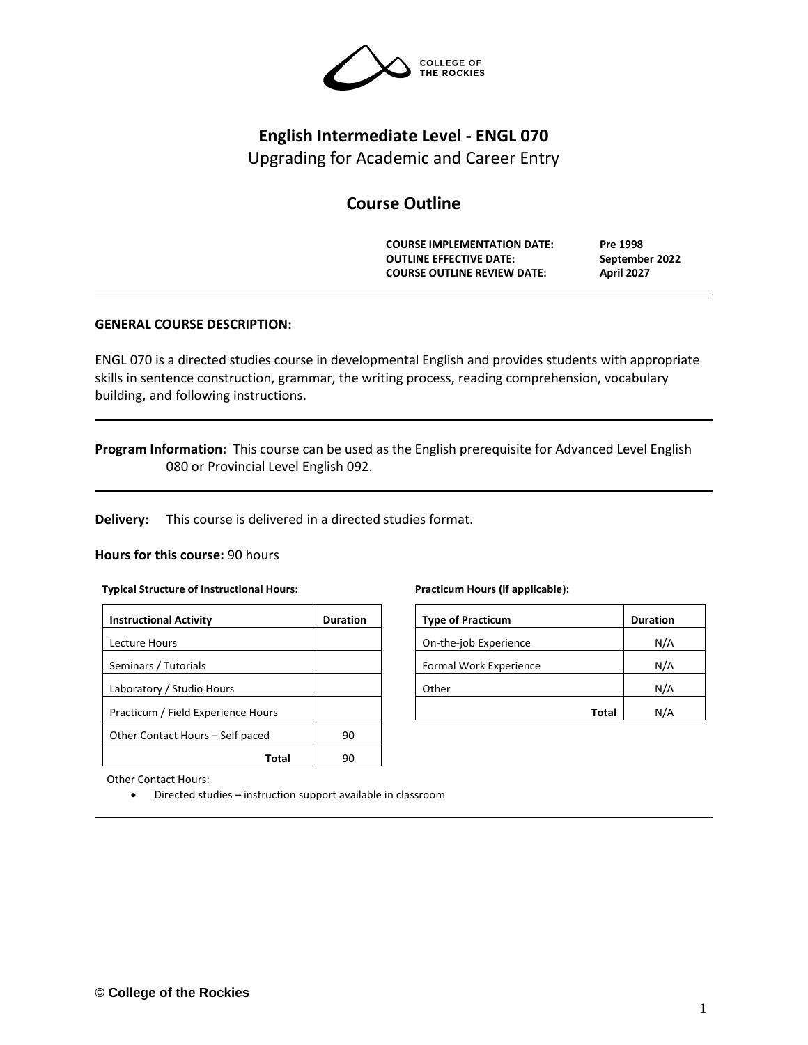

# **English Intermediate Level - ENGL 070**

Upgrading for Academic and Career Entry

# **Course Outline**

**COURSE IMPLEMENTATION DATE: Pre 1998 OUTLINE EFFECTIVE DATE: September 2022 COURSE OUTLINE REVIEW DATE: April 2027**

# **GENERAL COURSE DESCRIPTION:**

ENGL 070 is a directed studies course in developmental English and provides students with appropriate skills in sentence construction, grammar, the writing process, reading comprehension, vocabulary building, and following instructions.

**Program Information:** This course can be used as the English prerequisite for Advanced Level English 080 or Provincial Level English 092.

**Delivery:** This course is delivered in a directed studies format.

### **Hours for this course:** 90 hours

### **Typical Structure of Instructional Hours:**

| <b>Instructional Activity</b>      | <b>Duration</b> |  |  |
|------------------------------------|-----------------|--|--|
| Lecture Hours                      |                 |  |  |
| Seminars / Tutorials               |                 |  |  |
| Laboratory / Studio Hours          |                 |  |  |
| Practicum / Field Experience Hours |                 |  |  |
| Other Contact Hours – Self paced   | 90              |  |  |
|                                    |                 |  |  |

Other Contact Hours:

• Directed studies – instruction support available in classroom

#### **Practicum Hours (if applicable):**

| <b>Type of Practicum</b> | <b>Duration</b> |
|--------------------------|-----------------|
| On-the-job Experience    | N/A             |
| Formal Work Experience   | N/A             |
| Other                    | N/A             |
| Total                    |                 |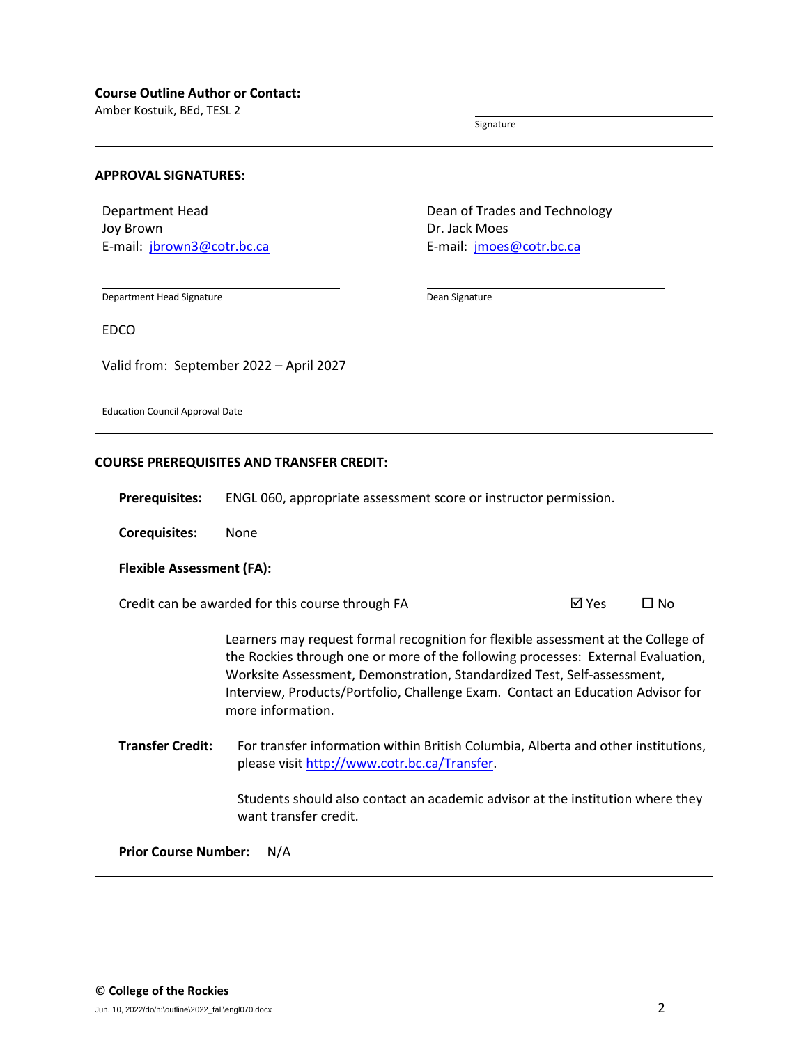Amber Kostuik, BEd, TESL 2

Signature

### **APPROVAL SIGNATURES:**

Department Head Joy Brown E-mail: [jbrown3@cotr.bc.ca](mailto:jbrown3@cotr.bc.ca) Dean of Trades and Technology Dr. Jack Moes E-mail: [jmoes@cotr.bc.ca](mailto:jmoes@cotr.bc.ca)

Department Head Signature

Dean Signature

EDCO

Valid from: September 2022 – April 2027

Education Council Approval Date

#### **COURSE PREREQUISITES AND TRANSFER CREDIT:**

**Prerequisites:** ENGL 060, appropriate assessment score or instructor permission.

**Corequisites:** None

#### **Flexible Assessment (FA):**

Credit can be awarded for this course through FA  $\boxtimes$  Yes  $\Box$  No

Learners may request formal recognition for flexible assessment at the College of the Rockies through one or more of the following processes: External Evaluation, Worksite Assessment, Demonstration, Standardized Test, Self-assessment, Interview, Products/Portfolio, Challenge Exam. Contact an Education Advisor for more information.

**Transfer Credit:** For transfer information within British Columbia, Alberta and other institutions, please visit [http://www.cotr.bc.ca/Transfer.](http://www.cotr.bc.ca/Transfer)

> Students should also contact an academic advisor at the institution where they want transfer credit.

**Prior Course Number:** N/A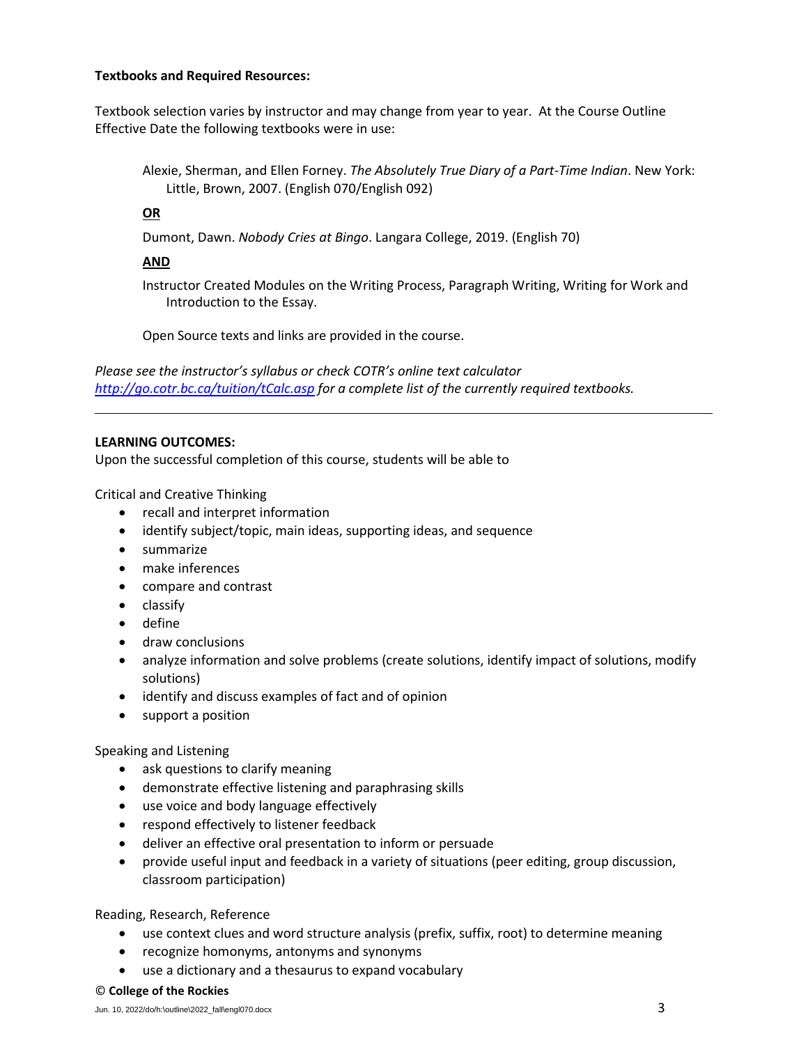## **Textbooks and Required Resources:**

Textbook selection varies by instructor and may change from year to year. At the Course Outline Effective Date the following textbooks were in use:

Alexie, Sherman, and Ellen Forney. *The Absolutely True Diary of a Part-Time Indian*. New York: Little, Brown, 2007. (English 070/English 092)

# **OR**

Dumont, Dawn. *Nobody Cries at Bingo*. Langara College, 2019. (English 70)

# **AND**

Instructor Created Modules on the Writing Process, Paragraph Writing, Writing for Work and Introduction to the Essay.

Open Source texts and links are provided in the course.

*Please see the instructor's syllabus or check COTR's online text calculator <http://go.cotr.bc.ca/tuition/tCalc.asp> for a complete list of the currently required textbooks.*

# **LEARNING OUTCOMES:**

Upon the successful completion of this course, students will be able to

Critical and Creative Thinking

- recall and interpret information
- identify subject/topic, main ideas, supporting ideas, and sequence
- summarize
- make inferences
- compare and contrast
- classify
- define
- draw conclusions
- analyze information and solve problems (create solutions, identify impact of solutions, modify solutions)
- identify and discuss examples of fact and of opinion
- support a position

# Speaking and Listening

- ask questions to clarify meaning
- demonstrate effective listening and paraphrasing skills
- use voice and body language effectively
- respond effectively to listener feedback
- deliver an effective oral presentation to inform or persuade
- provide useful input and feedback in a variety of situations (peer editing, group discussion, classroom participation)

Reading, Research, Reference

- use context clues and word structure analysis (prefix, suffix, root) to determine meaning
- recognize homonyms, antonyms and synonyms
- use a dictionary and a thesaurus to expand vocabulary

### © **College of the Rockies**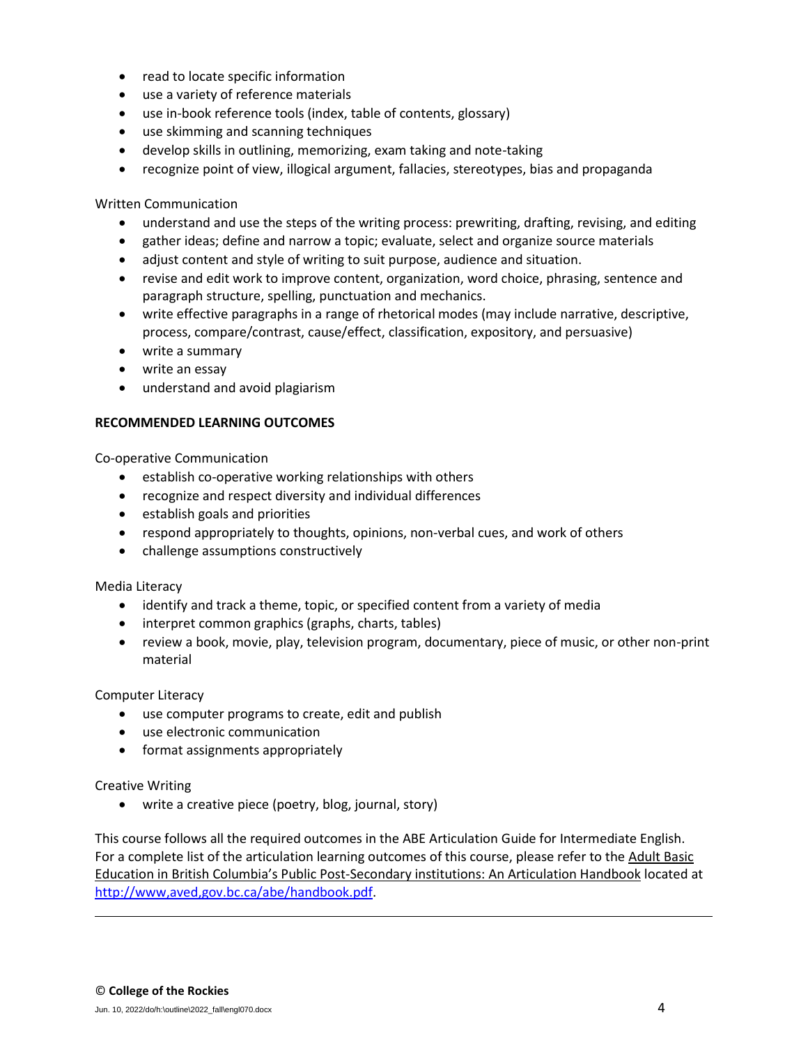- read to locate specific information
- use a variety of reference materials
- use in-book reference tools (index, table of contents, glossary)
- use skimming and scanning techniques
- develop skills in outlining, memorizing, exam taking and note-taking
- recognize point of view, illogical argument, fallacies, stereotypes, bias and propaganda

Written Communication

- understand and use the steps of the writing process: prewriting, drafting, revising, and editing
- gather ideas; define and narrow a topic; evaluate, select and organize source materials
- adjust content and style of writing to suit purpose, audience and situation.
- revise and edit work to improve content, organization, word choice, phrasing, sentence and paragraph structure, spelling, punctuation and mechanics.
- write effective paragraphs in a range of rhetorical modes (may include narrative, descriptive, process, compare/contrast, cause/effect, classification, expository, and persuasive)
- write a summary
- write an essay
- understand and avoid plagiarism

## **RECOMMENDED LEARNING OUTCOMES**

Co-operative Communication

- establish co-operative working relationships with others
- recognize and respect diversity and individual differences
- establish goals and priorities
- respond appropriately to thoughts, opinions, non-verbal cues, and work of others
- challenge assumptions constructively

Media Literacy

- identify and track a theme, topic, or specified content from a variety of media
- interpret common graphics (graphs, charts, tables)
- review a book, movie, play, television program, documentary, piece of music, or other non-print material

Computer Literacy

- use computer programs to create, edit and publish
- use electronic communication
- format assignments appropriately

Creative Writing

• write a creative piece (poetry, blog, journal, story)

This course follows all the required outcomes in the ABE Articulation Guide for Intermediate English. For a complete list of the articulation learning outcomes of this course, please refer to the Adult Basic Education in British Columbia's Public Post-Secondary institutions: An Articulation Handbook located at [http://www,aved,gov.bc.ca/abe/handbook.pdf.](http://www,aved,gov.bc.ca/abe/handbook.pdf)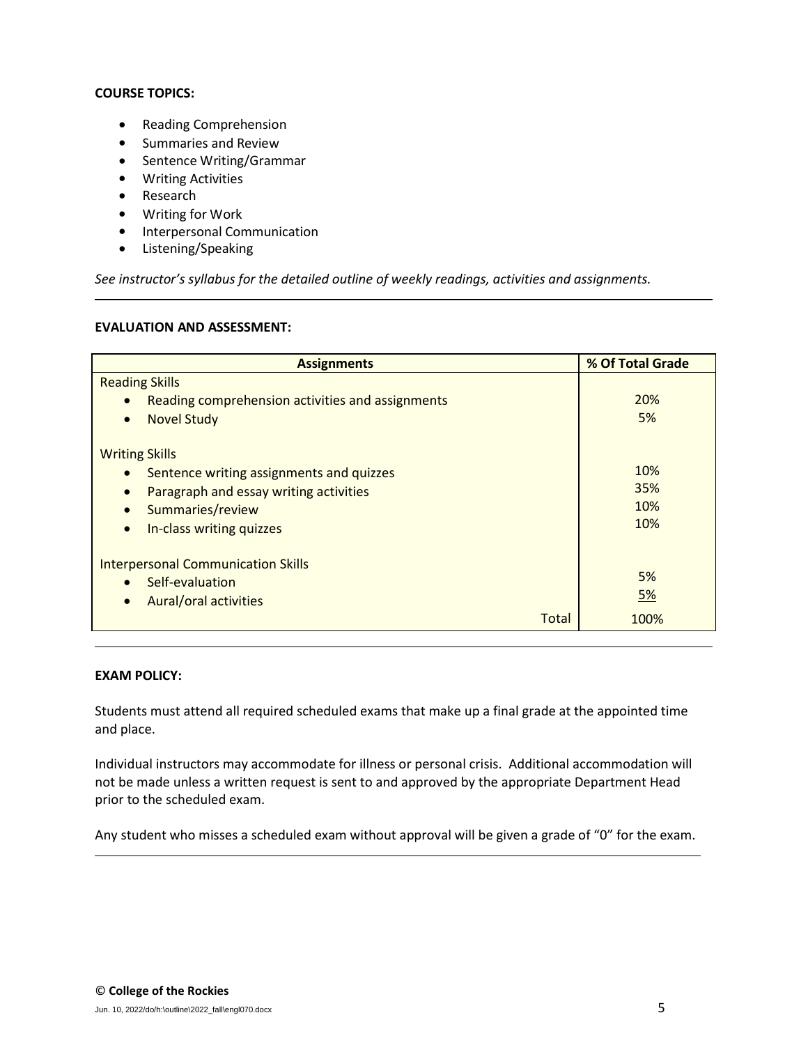# **COURSE TOPICS:**

- Reading Comprehension
- Summaries and Review
- Sentence Writing/Grammar
- Writing Activities
- Research
- Writing for Work
- Interpersonal Communication
- Listening/Speaking

*See instructor's syllabus for the detailed outline of weekly readings, activities and assignments.* 

## **EVALUATION AND ASSESSMENT:**

| <b>Assignments</b>                               | % Of Total Grade |  |  |
|--------------------------------------------------|------------------|--|--|
| <b>Reading Skills</b>                            |                  |  |  |
| Reading comprehension activities and assignments | 20%              |  |  |
| <b>Novel Study</b><br>$\bullet$                  | 5%               |  |  |
| <b>Writing Skills</b>                            |                  |  |  |
| Sentence writing assignments and quizzes         | 10%              |  |  |
| Paragraph and essay writing activities           | 35%              |  |  |
| Summaries/review                                 | 10%              |  |  |
| In-class writing quizzes<br>$\bullet$            | 10%              |  |  |
| <b>Interpersonal Communication Skills</b>        |                  |  |  |
| Self-evaluation                                  | 5%               |  |  |
| <b>Aural/oral activities</b><br>$\bullet$        | 5%               |  |  |
| Total                                            | 100%             |  |  |

# **EXAM POLICY:**

Students must attend all required scheduled exams that make up a final grade at the appointed time and place.

Individual instructors may accommodate for illness or personal crisis. Additional accommodation will not be made unless a written request is sent to and approved by the appropriate Department Head prior to the scheduled exam.

Any student who misses a scheduled exam without approval will be given a grade of "0" for the exam.